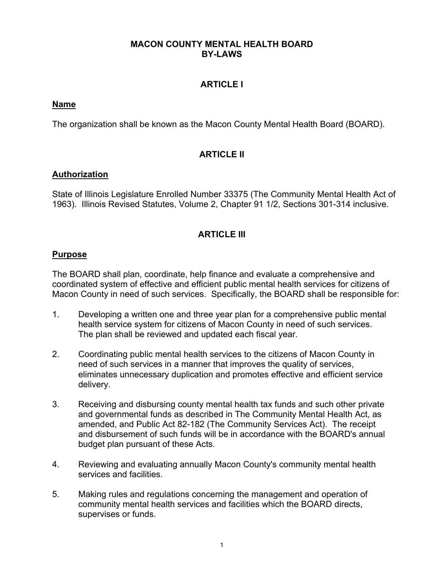### **MACON COUNTY MENTAL HEALTH BOARD BY-LAWS**

# **ARTICLE I**

### **Name**

The organization shall be known as the Macon County Mental Health Board (BOARD).

# **ARTICLE II**

### **Authorization**

State of Illinois Legislature Enrolled Number 33375 (The Community Mental Health Act of 1963). Illinois Revised Statutes, Volume 2, Chapter 91 1/2, Sections 301-314 inclusive.

# **ARTICLE III**

## **Purpose**

The BOARD shall plan, coordinate, help finance and evaluate a comprehensive and coordinated system of effective and efficient public mental health services for citizens of Macon County in need of such services. Specifically, the BOARD shall be responsible for:

- 1. Developing a written one and three year plan for a comprehensive public mental health service system for citizens of Macon County in need of such services. The plan shall be reviewed and updated each fiscal year.
- 2. Coordinating public mental health services to the citizens of Macon County in need of such services in a manner that improves the quality of services, eliminates unnecessary duplication and promotes effective and efficient service delivery.
- 3. Receiving and disbursing county mental health tax funds and such other private and governmental funds as described in The Community Mental Health Act, as amended, and Public Act 82-182 (The Community Services Act). The receipt and disbursement of such funds will be in accordance with the BOARD's annual budget plan pursuant of these Acts.
- 4. Reviewing and evaluating annually Macon County's community mental health services and facilities.
- 5. Making rules and regulations concerning the management and operation of community mental health services and facilities which the BOARD directs, supervises or funds.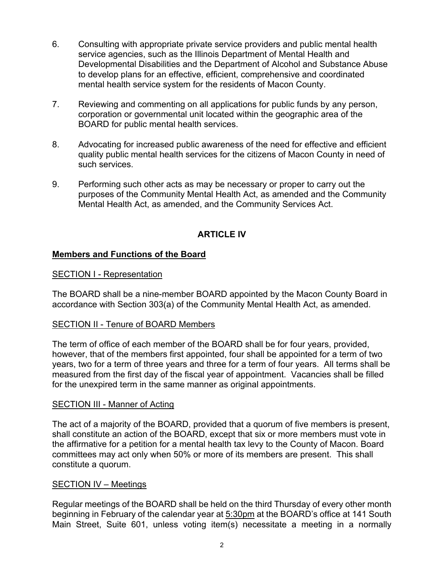- 6. Consulting with appropriate private service providers and public mental health service agencies, such as the Illinois Department of Mental Health and Developmental Disabilities and the Department of Alcohol and Substance Abuse to develop plans for an effective, efficient, comprehensive and coordinated mental health service system for the residents of Macon County.
- 7. Reviewing and commenting on all applications for public funds by any person, corporation or governmental unit located within the geographic area of the BOARD for public mental health services.
- 8. Advocating for increased public awareness of the need for effective and efficient quality public mental health services for the citizens of Macon County in need of such services.
- 9. Performing such other acts as may be necessary or proper to carry out the purposes of the Community Mental Health Act, as amended and the Community Mental Health Act, as amended, and the Community Services Act.

# **ARTICLE IV**

# **Members and Functions of the Board**

### SECTION I - Representation

The BOARD shall be a nine-member BOARD appointed by the Macon County Board in accordance with Section 303(a) of the Community Mental Health Act, as amended.

### SECTION II - Tenure of BOARD Members

The term of office of each member of the BOARD shall be for four years, provided, however, that of the members first appointed, four shall be appointed for a term of two years, two for a term of three years and three for a term of four years. All terms shall be measured from the first day of the fiscal year of appointment. Vacancies shall be filled for the unexpired term in the same manner as original appointments.

### SECTION III - Manner of Acting

The act of a majority of the BOARD, provided that a quorum of five members is present, shall constitute an action of the BOARD, except that six or more members must vote in the affirmative for a petition for a mental health tax levy to the County of Macon. Board committees may act only when 50% or more of its members are present. This shall constitute a quorum.

#### SECTION IV – Meetings

Regular meetings of the BOARD shall be held on the third Thursday of every other month beginning in February of the calendar year at 5:30pm at the BOARD's office at 141 South Main Street, Suite 601, unless voting item(s) necessitate a meeting in a normally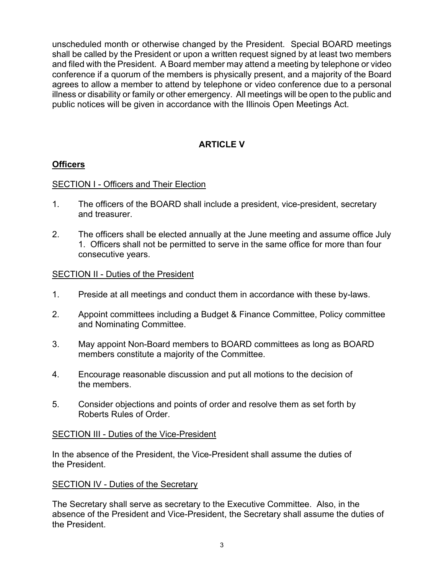unscheduled month or otherwise changed by the President. Special BOARD meetings shall be called by the President or upon a written request signed by at least two members and filed with the President. A Board member may attend a meeting by telephone or video conference if a quorum of the members is physically present, and a majority of the Board agrees to allow a member to attend by telephone or video conference due to a personal illness or disability or family or other emergency. All meetings will be open to the public and public notices will be given in accordance with the Illinois Open Meetings Act.

# **ARTICLE V**

# **Officers**

## SECTION I - Officers and Their Election

- 1. The officers of the BOARD shall include a president, vice-president, secretary and treasurer.
- 2. The officers shall be elected annually at the June meeting and assume office July 1. Officers shall not be permitted to serve in the same office for more than four consecutive years.

## SECTION II - Duties of the President

- 1. Preside at all meetings and conduct them in accordance with these by-laws.
- 2. Appoint committees including a Budget & Finance Committee, Policy committee and Nominating Committee.
- 3. May appoint Non-Board members to BOARD committees as long as BOARD members constitute a majority of the Committee.
- 4. Encourage reasonable discussion and put all motions to the decision of the members.
- 5. Consider objections and points of order and resolve them as set forth by Roberts Rules of Order.

### SECTION III - Duties of the Vice-President

In the absence of the President, the Vice-President shall assume the duties of the President.

### SECTION IV - Duties of the Secretary

The Secretary shall serve as secretary to the Executive Committee. Also, in the absence of the President and Vice-President, the Secretary shall assume the duties of the President.